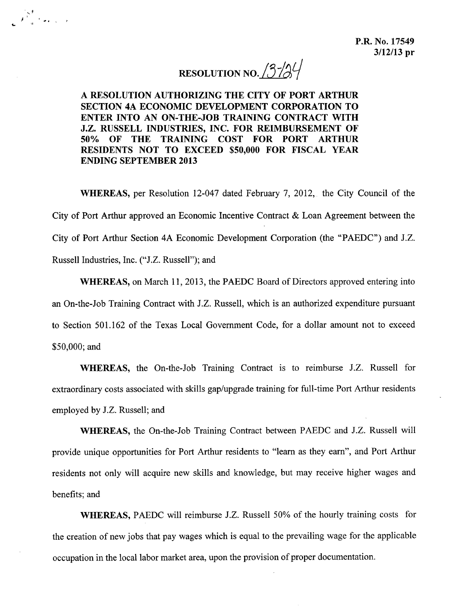RESOLUTION NO.  $3\frac{13}{4}$ 

A RESOLUTION AUTHORIZING THE CITY OF PORT ARTHUR SECTION 4A ECONOMIC DEVELOPMENT CORPORATION TO ENTER INTO AN ON-THE-JOB TRAINING CONTRACT WITH J.Z. RUSSELL INDUSTRIES, INC. FOR REIMBURSEMENT OF 50% OF THE TRAINING COST FOR PORT ARTHUR RESIDENTS NOT TO EXCEED \$50,000 FOR FISCAL YEAR ENDING SEPTEMBER 2013

..

'," *f* , <sup>&</sup>gt;

WHEREAS, per Resolution 12-047 dated February 7, 2012, the City Council of the City of Port Arthur approved an Economic Incentive Contract & Loan Agreement between the City of Port Arthur Section 4A Economic Development Corporation (the "PAEDC") and J.Z. Russell Industries, Inc. ("J.Z. Russell"); and

WHEREAS, on March 11,2013, the PAEDC Board of Directors approved entering into an On-the-Job Training Contract with J.Z. Russell, which is an authorized expenditure pursuant to Section 501.162 of the Texas Local Government Code, for a dollar amount not to exceed \$50,000; and

WHEREAS, the On-the-Job Training Contract is to reimburse J.Z. Russell for extraordinary costs associated with skills gap/upgrade training for full-time Port Arthur residents employed by J.Z. Russell; and

WHEREAS, the On-the-Job Training Contract between PAEDC and J.Z. Russell will provide unique opportunities for Port Arthur residents to "learn as they earn", and Port Arthur residents not only will acquire new skills and knowledge, but may receive higher wages and benefits; and

WHEREAS, PAEDC will reimburse J.Z. Russell 50% of the hourly training costs for the creation of new jobs that pay wages which is equal to the prevailing wage for the applicable occupation in the local labor market area, upon the provision of proper documentation.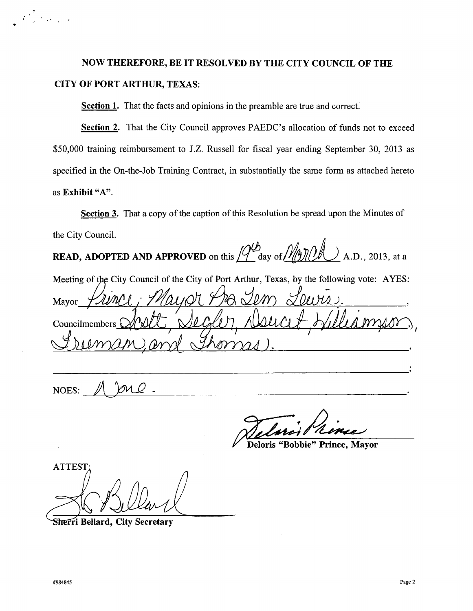## **NOW THEREFORE, BE IT RESOLVED BY THE CITY COUNCIL OF THE CITYOF PORT ARTHUR,** TEXAS:

**Section 1.** That the facts and opinions in the preamble are true and correct.

**Section 2.** That the City Council approves PAEDC's allocation of funds not to exceed \$50,000 training reimbursement to J.Z. Russell for fiscal year ending September 30, 2013 as specified in the On-the-Job Training Contract, in substantially the same form as attached hereto as **Exhibit** "A".

**Section** 3. That a copy of the caption of this Resolution be spread upon the Minutes of the City Council.

**READ, ADOPTED AND APPROVED** on this  $\mathcal{Q}^{ab}$  day of  $\mathcal{Q}^{ab}$  A.D., 2013, at a

Mayor Meeting of the City Council of the City of Port Arthur, Texas, by the following vote: AYES:

Councilmembers

NOES:

**Deloris "Bobbie" Prince, Mayor** 

**ATTEST** 

Sherri Bellard, City Secretary

 $\mathcal{F}^{\mathcal{L}}_{\mathcal{L},\mathcal{L}}(t)$  , and  $\mathcal{F}^{\mathcal{L}}_{\mathcal{L},\mathcal{L}}(t)$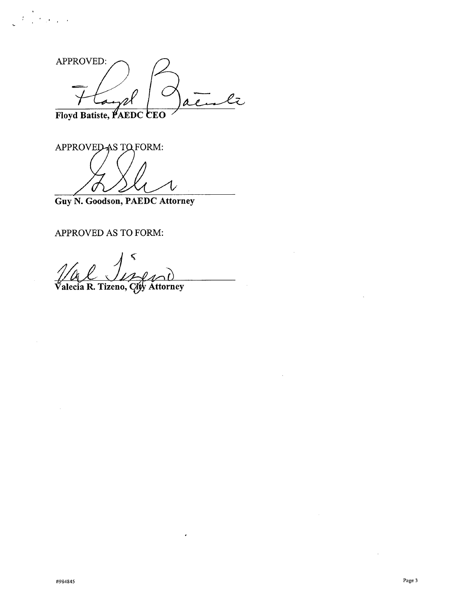APPROVED:  $\overline{\mathcal{L}}$ 

Floyd Batiste, PAEDC **CEO** 

 $\mathcal{L}^{\text{max}}$ 

APPROVED AS TO FORM:

Guy N. Goodson, PAEDC Attorney

APPROVED AS TO FORM:

Valecia R. Tizeno, City Attorney

 $\hat{\pmb{\cdot}}$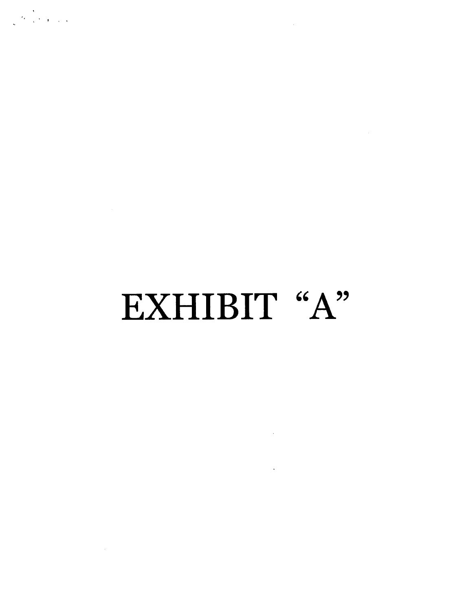# EXHIBIT "A"

 $\label{eq:2.1} \frac{1}{\sqrt{2}}\int_{\mathbb{R}^3}\frac{1}{\sqrt{2}}\left(\frac{1}{\sqrt{2}}\right)^2\frac{1}{\sqrt{2}}\left(\frac{1}{\sqrt{2}}\right)^2\frac{1}{\sqrt{2}}\left(\frac{1}{\sqrt{2}}\right)^2\frac{1}{\sqrt{2}}\left(\frac{1}{\sqrt{2}}\right)^2.$ 

 $\mathcal{L}(\mathcal{L}(\mathcal{L}))$  . The set of  $\mathcal{L}(\mathcal{L})$ 

 $\sim 10^7$ 

 $\frac{1}{\sqrt{\frac{2\pi}{\pi}}}\left(\frac{1}{\sqrt{2}}\right)^{\frac{1}{2}}\left(\frac{1}{2}\right)^{\frac{1}{2}}\left(\frac{1}{2}\right)^{\frac{1}{2}}\left(\frac{1}{2}\right)^{\frac{1}{2}}$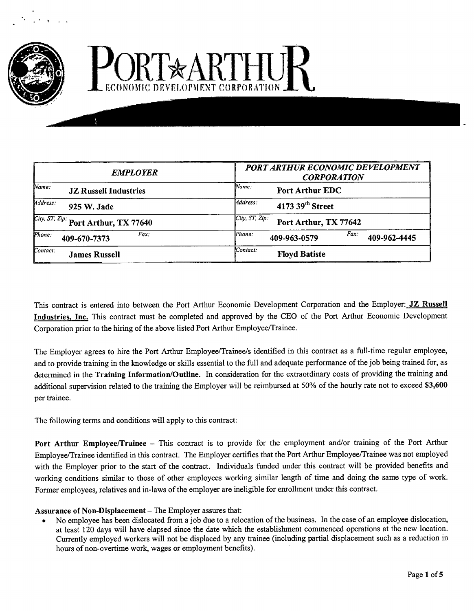

# PORT\*ARTHUR ECONOMIC DEVELOPMENT CORPORATI

| <b>EMPLOYER</b>                                    | <b>PORT ARTHUR ECONOMIC DEVELOPMENT</b><br><b>CORPORATION</b> |
|----------------------------------------------------|---------------------------------------------------------------|
| Wame:                                              | Wame:                                                         |
| <b>JZ Russell Industries</b>                       | <b>Port Arthur EDC</b>                                        |
| Address:                                           | Mddress:                                                      |
| 925 W. Jade                                        | 4173 39 <sup>th</sup> Street                                  |
| <i>City, ST, Zip:</i> Port Arthur, TX 77640        | City, ST, Zip:<br>Port Arthur, TX 77642                       |
| $\mathcal P$ <i>hone</i> :<br>Fax:<br>409-670-7373 | Fax<br>Phone:<br>409-962-4445<br>409-963-0579                 |
| Contact:                                           | Contact:                                                      |
| <b>James Russell</b>                               | <b>Floyd Batiste</b>                                          |

This contract is entered into between the Port Arthur Economic Development Corporation and the Employer: JZ Russell Industries, Inc. This contract must be completed and approved by the CEO of the Port Arthur Economic Development Corporation prior to the hiring of the above listed Port Arthur Employee/Trainee.

The Employer agrees to hire the Port Arthur Employee/Trainee/s identified in this contract as a full-time regular employee, and to provide training in the knowledge or skills essential to the full and adequate performance of the job being trained for, as determined in the Training Information/Outline. In consideration for the extraordinary costs of providing the training and additional supervision related to the training the Employer will be reimbursed at 50% of the hourly rate not to exceed \$3,600 per trainee.

The following terms and conditions will apply to this contract:

Port Arthur Employee/Trainee - This contract is to provide for the employment and/or training of the Port Arthur Employee/Trainee identified in this contract. The Employer certifies that the Port Arthur EmployeelTrainee was not employed with the Employer prior to the start of the contract. Individuals funded under this contract will be provided benefits and working conditions similar to those of other employees working similar length of time and doing the same type of work. Fonner employees, relatives and in-laws of the employer are ineligible for enrollment under this contract.

#### Assurance of Non-Displacement - The Employer assures that:

• No employee has been dislocated from a job due to a relocation of the business. In the case of an employee dislocation, at least 120 days will have elapsed since the date which the establishment commenced operations at the new location. Currently employed workers will not be displaced by any trainee (including partial displacement such as a reduction in hours of non-overtime work, wages or employment benefits).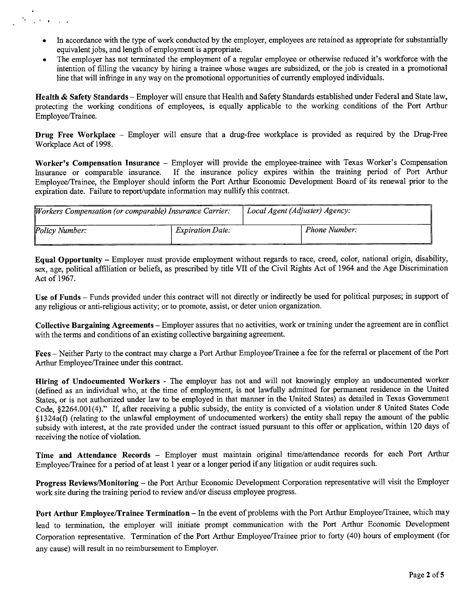In accordance with the type of work conducted by the employer, employees are retained as appropriate for substantially equivalent jobs, and length of employment is appropriate.

" , .

The employer has not terminated the employment of a regular employee or otherwise reduced it's workforce with the intention of filling the vacancy by hiring a trainee whose wages are subsidized, or the job is created in a promotional line that will infringe in any way on the promotional opportunities of currently employed individuals.

Health & Safety Standards - Employer will ensure that Health and Safety Standards established under Federal and State law, protecting the working conditions of employees, is equally applicable to the working conditions of the Port Arthur Employee/Trainee.

Drug Free Workplace – Employer will ensure that a drug-free workplace is provided as required by the Drug-Free Workplace Act of 1998.

Worker's Compensation Insurance - Employer will provide the employee-trainee with Texas Worker's Compensation Insurance or comparable insurance. If the insurance policy expires within the training period of Port Arthur Employee/Trainee, the Employer should inform the Port Arthur Economic Development Board of its renewal prior to the expiration date. Failure to report/update information may nullify this contract.

| Workers Compensation (or comparable) Insurance Carrier: |                         | Local Agent (Adjuster) Agency: |
|---------------------------------------------------------|-------------------------|--------------------------------|
| Policy Number:                                          | <i>Expiration Date:</i> | <b>Phone Number:</b>           |

Equal Opportunity - Employer must provide employment without regards to race, creed, color, national origin, disability, sex, age, political affiliation or beliefs, as prescribed by title VII of the Civil Rights Act of 1964 and the Age Discrimination Act of 1967.

Use of Funds - Funds provided under this contract will not directly or indirectly be used for political purposes; in support of any religious or anti-religious activity; or to promote, assist, or deter union organization.

Collective Bargaining Agreements - Employer assures that no activities, work or training under the agreement are in conflict with the terms and conditions of an existing collective bargaining agreement.

Fees - Neither Party to the contract may charge a Port Arthur Employee/Trainee a fee for the referral or placement of the Port Arthur Employee/Trainee under this contract.

Hiring of Undocumented Workers - The employer has not and will not knowingly employ an undocumented worker (defined as an individual who, at the time of employment, is not lawfully admitted for pennanent residence in the United States, or is not authorized under law to be employed in that manner in the United States) as detailed in Texas Government Code, S2264.001(4)." If, after receiving a public subsidy, the entity is convicted of a violation under 8 United States Code s1324a(f) (relating to the unlawful employment of undocumented workers) the entity shall repay the amount of the public subsidy with interest, at the rate provided under the contract issued pursuant to this offer or application, within 120 days of receiving the notice of violation.

Time and Attendance Records - Employer must maintain original time/attendance records for each Port Arthur Employee/Trainee for a period of at least 1 year or a longer period if any litigation or audit requires such.

Progress Reviews/Monitoring - the Port Arthur Economic Development Corporation representative will visit the Employer work site during the training period to review and/or discuss employee progress.

Port Arthur Employee/Trainee Termination - In the event of problems with the Port Arthur Employee/Trainee, which may lead to termination, the employer will initiate prompt communication with the Port Arthur Economic Development Corporation representative. Termination of the Port Arthur Employee/Trainee prior to forty (40) hours of employment (for any cause) will result in no reimbursement to Employer.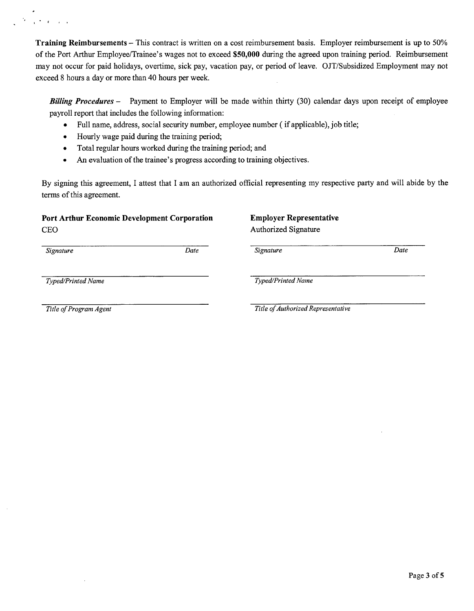Training Reimbursements - This contract is written on a cost reimbursement basis. Employer reimbursement is up to 50% of the Port Arthur Employee/Trainee's wages not to exceed \$50,000 during the agreed upon training period. Reimbursement may not occur for paid holidays, overtime, sick pay, vacation pay, or period of leave. OJT/Subsidized Employment may not

exceed 8 hours a day or more than 40 hours per week.

*Billing Procedures -* Payment to Employer will be made within thirty (30) calendar days upon receipt of employee payroll report that includes the following information:

- Full name, address, social security number, employee number ( if applicable), job title;
- Hourly wage paid during the training period;
- Total regular hours worked during the training period; and
- An evaluation of the trainee's progress according to training objectives.

By signing this agreement, I attest that I am an authorized official representing my respective party and will abide by the terms of this agreement.

#### Port Arthur Economic Development Corporation **CEO**

### Employer Representative Authorized Signature

*Date*

*Date Signature*

*Typed/Printed Name*

*Signature*

'. . ,

*Typed/Printed Name*

*Title of Program Agent*

*Title of Authorized Representative*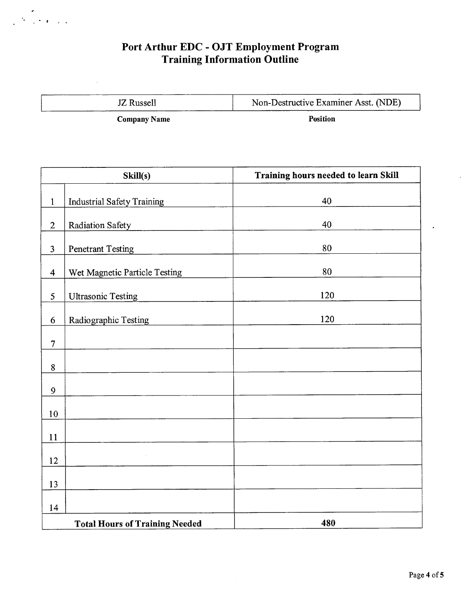### Port Arthur EDC - OJT Employment Progran Training Information Outline

JZ Russell

 $\mathcal{F} = \begin{bmatrix} 1 & 0 & 0 & 0 \\ 0 & 0 & 0 & 0 \\ 0 & 0 & 0 & 0 \end{bmatrix}$ 

Non-Destructive Examiner Asst. (NDE)

Company Name

Position

| Skill(s)       |                                       | Training hours needed to learn Skill |
|----------------|---------------------------------------|--------------------------------------|
| $\mathbf{1}$   | <b>Industrial Safety Training</b>     | 40                                   |
| $\mathbf{2}$   | Radiation Safety                      | 40                                   |
| 3              | <b>Penetrant Testing</b>              | 80                                   |
| $\overline{4}$ | Wet Magnetic Particle Testing         | 80                                   |
| 5              | <b>Ultrasonic Testing</b>             | 120                                  |
| 6              | Radiographic Testing                  | 120                                  |
| $\overline{7}$ |                                       |                                      |
| $8\,$          |                                       |                                      |
| 9              |                                       |                                      |
| 10             |                                       |                                      |
| 11             |                                       |                                      |
|                |                                       |                                      |
| 12             |                                       |                                      |
| 13             |                                       |                                      |
| 14             | <b>Total Hours of Training Needed</b> | 480                                  |